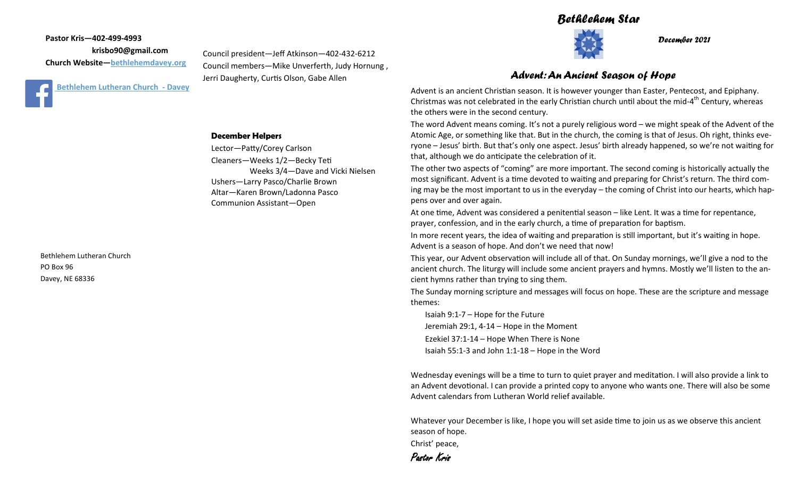## *Bethlehem Star*



*December 2021*

### *Advent: An Ancient Season of Hope*

Advent is an ancient Christian season. It is however younger than Easter, Pentecost, and Epiphany. Christmas was not celebrated in the early Christian church until about the mid-4<sup>th</sup> Century, whereas the others were in the second century.

The word Advent means coming. It's not a purely religious word – we might speak of the Advent of the Atomic Age, or something like that. But in the church, the coming is that of Jesus. Oh right, thinks everyone – Jesus' birth. But that's only one aspect. Jesus' birth already happened, so we're not waiting for that, although we do anticipate the celebration of it.

The other two aspects of "coming" are more important. The second coming is historically actually the most significant. Advent is a time devoted to waiting and preparing for Christ's return. The third coming may be the most important to us in the everyday – the coming of Christ into our hearts, which happens over and over again.

At one time, Advent was considered a penitential season – like Lent. It was a time for repentance, prayer, confession, and in the early church, a time of preparation for baptism.

In more recent years, the idea of waiting and preparation is still important, but it's waiting in hope. Advent is a season of hope. And don't we need that now!

This year, our Advent observation will include all of that. On Sunday mornings, we'll give a nod to the ancient church. The liturgy will include some ancient prayers and hymns. Mostly we'll listen to the ancient hymns rather than trying to sing them.

The Sunday morning scripture and messages will focus on hope. These are the scripture and message themes:

Isaiah 9:1-7 – Hope for the Future Jeremiah 29:1, 4-14 – Hope in the Moment Ezekiel 37:1-14 – Hope When There is None Isaiah 55:1-3 and John 1:1-18 – Hope in the Word

Wednesday evenings will be a time to turn to quiet prayer and meditation. I will also provide a link to an Advent devotional. I can provide a printed copy to anyone who wants one. There will also be some Advent calendars from Lutheran World relief available.

Whatever your December is like, I hope you will set aside time to join us as we observe this ancient season of hope.

Christ' peace,



**Pastor Kris—402-499-4993 krisbo90@gmail.com Church Website—<bethlehemdavey.org>**



**December Helpers**

Lector—Patty/Corey Carlson Cleaners—Weeks 1/2—Becky Teti Weeks 3/4—Dave and Vicki Nielsen Ushers—Larry Pasco/Charlie Brown Altar—Karen Brown/Ladonna Pasco Communion Assistant—Open

Council president—Jeff Atkinson—402-432-6212 Council members—Mike Unverferth, Judy Hornung ,

Jerri Daugherty, Curtis Olson, Gabe Allen

Bethlehem Lutheran Church PO Box 96 Davey, NE 68336